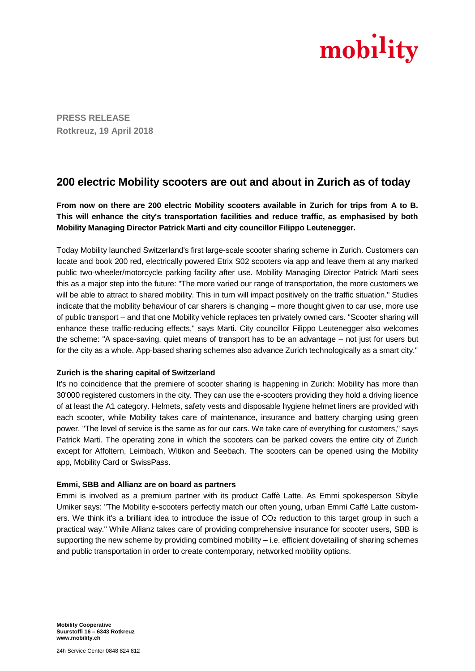

**PRESS RELEASE Rotkreuz, 19 April 2018**

# **200 electric Mobility scooters are out and about in Zurich as of today**

**From now on there are 200 electric Mobility scooters available in Zurich for trips from A to B. This will enhance the city's transportation facilities and reduce traffic, as emphasised by both Mobility Managing Director Patrick Marti and city councillor Filippo Leutenegger.**

Today Mobility launched Switzerland's first large-scale scooter sharing scheme in Zurich. Customers can locate and book 200 red, electrically powered Etrix S02 scooters via app and leave them at any marked public two-wheeler/motorcycle parking facility after use. Mobility Managing Director Patrick Marti sees this as a major step into the future: "The more varied our range of transportation, the more customers we will be able to attract to shared mobility. This in turn will impact positively on the traffic situation." Studies indicate that the mobility behaviour of car sharers is changing – more thought given to car use, more use of public transport – and that one Mobility vehicle replaces ten privately owned cars. "Scooter sharing will enhance these traffic-reducing effects," says Marti. City councillor Filippo Leutenegger also welcomes the scheme: "A space-saving, quiet means of transport has to be an advantage – not just for users but for the city as a whole. App-based sharing schemes also advance Zurich technologically as a smart city."

# **Zurich is the sharing capital of Switzerland**

It's no coincidence that the premiere of scooter sharing is happening in Zurich: Mobility has more than 30'000 registered customers in the city. They can use the e-scooters providing they hold a driving licence of at least the A1 category. Helmets, safety vests and disposable hygiene helmet liners are provided with each scooter, while Mobility takes care of maintenance, insurance and battery charging using green power. "The level of service is the same as for our cars. We take care of everything for customers," says Patrick Marti. The operating zone in which the scooters can be parked covers the entire city of Zurich except for Affoltern, Leimbach, Witikon and Seebach. The scooters can be opened using the Mobility app, Mobility Card or SwissPass.

# **Emmi, SBB and Allianz are on board as partners**

Emmi is involved as a premium partner with its product Caffè Latte. As Emmi spokesperson Sibylle Umiker says: "The Mobility e-scooters perfectly match our often young, urban Emmi Caffè Latte customers. We think it's a brilliant idea to introduce the issue of  $CO<sub>2</sub>$  reduction to this target group in such a practical way." While Allianz takes care of providing comprehensive insurance for scooter users, SBB is supporting the new scheme by providing combined mobility – i.e. efficient dovetailing of sharing schemes and public transportation in order to create contemporary, networked mobility options.

**Mobility Cooperative Suurstoffi 16 – 6343 Rotkreuz www.mobility.ch**